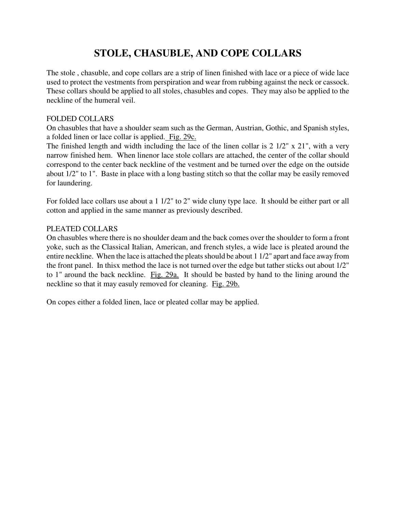# **STOLE, CHASUBLE, AND COPE COLLARS**

The stole , chasuble, and cope collars are a strip of linen finished with lace or a piece of wide lace used to protect the vestments from perspiration and wear from rubbing against the neck or cassock. These collars should be applied to all stoles, chasubles and copes. They may also be applied to the neckline of the humeral veil.

#### FOLDED COLLARS

On chasubles that have a shoulder seam such as the German, Austrian, Gothic, and Spanish styles, a folded linen or lace collar is applied. Fig. 29c.

The finished length and width including the lace of the linen collar is 2 1/2" x 21", with a very narrow finished hem. When linenor lace stole collars are attached, the center of the collar should correspond to the center back neckline of the vestment and be turned over the edge on the outside about 1/2" to 1". Baste in place with a long basting stitch so that the collar may be easily removed for laundering.

For folded lace collars use about a 1 1/2" to 2" wide cluny type lace. It should be either part or all cotton and applied in the same manner as previously described.

#### PLEATED COLLARS

On chasubles where there is no shoulder deam and the back comes over the shoulder to form a front yoke, such as the Classical Italian, American, and french styles, a wide lace is pleated around the entire neckline. When the lace is attached the pleats should be about 1 1/2" apart and face away from the front panel. In thisx method the lace is not turned over the edge but tather sticks out about 1/2" to 1" around the back neckline. Fig. 29a. It should be basted by hand to the lining around the neckline so that it may easuly removed for cleaning. Fig. 29b.

On copes either a folded linen, lace or pleated collar may be applied.